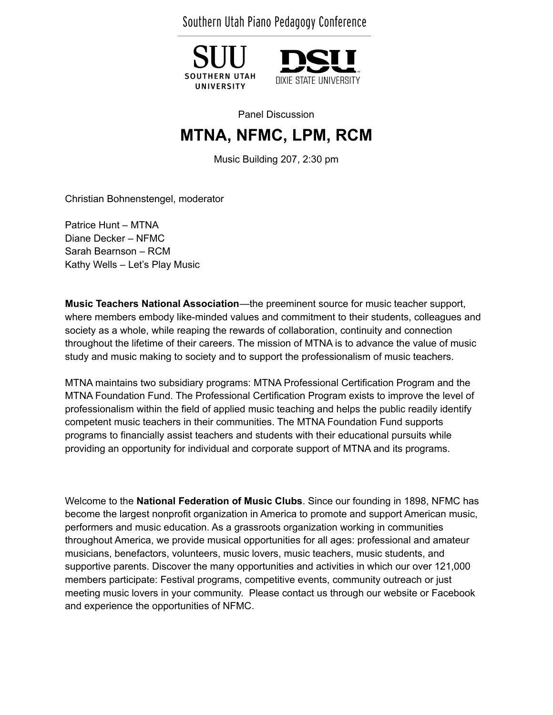Southern Utah Piano Pedagogy Conference





Panel Discussion

## **MTNA, NFMC, LPM, RCM**

Music Building 207, 2:30 pm

Christian Bohnenstengel, moderator

Patrice Hunt – MTNA Diane Decker – NFMC Sarah Bearnson – RCM Kathy Wells – Let's Play Music

**Music Teachers National Association**—the preeminent source for music teacher support, where members embody like-minded values and commitment to their students, colleagues and society as a whole, while reaping the rewards of collaboration, continuity and connection throughout the lifetime of their careers. The mission of MTNA is to advance the value of music study and music making to society and to support the professionalism of music teachers.

MTNA maintains two subsidiary programs: MTNA Professional Certification Program and the MTNA Foundation Fund. The Professional Certification Program exists to improve the level of professionalism within the field of applied music teaching and helps the public readily identify competent music teachers in their communities. The MTNA Foundation Fund supports programs to financially assist teachers and students with their educational pursuits while providing an opportunity for individual and corporate support of MTNA and its programs.

Welcome to the **National Federation of Music Clubs**. Since our founding in 1898, NFMC has become the largest nonprofit organization in America to promote and support American music, performers and music education. As a grassroots organization working in communities throughout America, we provide musical opportunities for all ages: professional and amateur musicians, benefactors, volunteers, music lovers, music teachers, music students, and supportive parents. Discover the many opportunities and activities in which our over 121,000 members participate: Festival programs, competitive events, community outreach or just meeting music lovers in your community. Please contact us through our website or Facebook and experience the opportunities of NFMC.